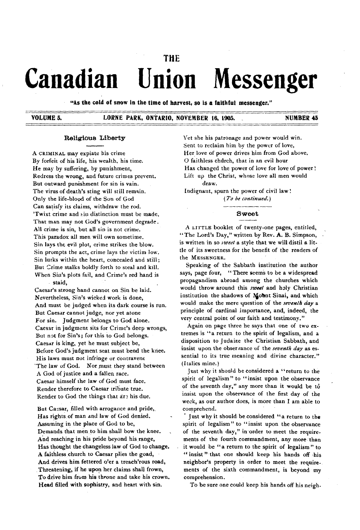# **THE**

# Canadian Union Messenger

"4s the cold of snow in the time of harvest, so is a faithful messenger."

# VOLUME 5. LORNE PARK, ONTARIO, NOVEMBER 16, 1905. NUMBER 45

#### Religious Liberty

A CRIMINAL may expiate his crime By forfeit of his life, his wealth, his time. He may by suffering, by punishment, Redress the wrong, and future crimes prevent. But outward punishment for sin is vain. The virus of death's sting will still remain. Only the life-blood of the Son of God Can satisfy its claims, withdraw the rod. 'Twixt crime and tin distinction must be made. That man may not God's government degrade. All crime is sin, but all sin is not crime. This paradox all men will own sometime. Sin lays the evil plot, crime strikes the blow. Sin prompts the act, crime lays the victim low. Sin lurks within the heart, concealed and still; But Crime stalks boldly forth to steal and kill. When Sin's plots fail, and Crime's red hand is staid,

Caesar's strong hand cannot on Sin be laid. Nevertheless, Sin's wicked work is done, And must be judged when its dark course is run. But Caesar cannot judge, nor yet atone For sin. Judgment belongs to God alone. Caesar in judgment sits for Crime's deep wrongs, But not for Sin's; for this to God belongs. Caesar is king, yet he must subject be, Before God's judgment seat must bend the knee. His laws must not infringe or contravene 'The law of God. Nor must they stand between A God of justice and a fallen race. Caesar himself the law of God must face. Render therefore to Caesar tribute true. Render to God the things that are his due.

But Caesar, filled with arrogance and pride,. Has rights of man and law of God denied. Assuming in the place of God to be, Demands that men to him shall bow the knee. And reaching in his pride beyond his range, Has thought the changeless law of God to change. A faithless church to Caesar plies the goad, And drives him fettered o'er a treach'rous road, Threatening, if he upon her claims shall frown, To drive him from his throne and take his crown. Head filled with sophistry, and heart with sin.

Vet she his patronage and power would win. Sent to reclaim him by the power of love, Her love of power drives him from God above. O faithless church, that in an evil hour Has changed the power of love for love of power! Lift up the Christ, whose love all men would draw.

Indignant, spurn the power of civil law '.

*(To be continued.)*

#### **Sweet**

A LITTLE booklet of twenty-one pages, entitled, " The Lord's Day," written by Rev. A. B. Simpson, is written in so *iweet* a style that we will distil a little of its sweetness for the benefit of the readers of the MESSENGER.

Speaking of the Sabbath institution the author says, page four, "There seems to be a widespread propagandism abroad among the churches which would throw around this *sweet* and holy Christian institution the shadows of Mount Sinai, and which would make the mere question of the *seventh day* a principle of cardinal importance, and, indeed, the very central point of our faith and testimony."

Again on page three he says that one of two extremes is " a return to the spirit of legalism, and a disposition to Judaize the Christian Sabbath, and insist upon the observance of the *seventh day* as essential to its true meaning and divine character." (Italics mine.)

Just why it should be considered a "return to the spirit of legalism" to "insist upon the observance of the seventh day," any more than it would be to insist upon the observance of the first day of the week, as our author does, is more than I am able to comprehend.

Just why it should be considered "a return to the spirit of legalism" to " insist upon the observance of the seventh day," in order to meet the requirements of the fourth commandment, any more than it would be "a return to the spirit of legalism" to " insist" that one should keep his hands off his neighbor's property in order to meet the requirements of the sixth commandment, is beyond my comprehension.

To be sure one could keep his hands off his neigh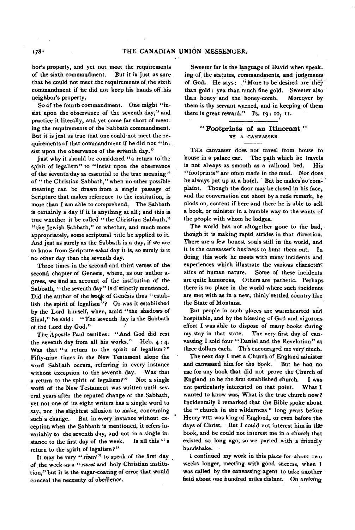bor's property, and yet not meet the requirements of the sixth commandment. But it is just as sure that he could not meet the requirements of, the sixth commandment if he did not keep his hands off his neighbor's property.

So of the fourth commandment. One might "insist upon the observance of the seventh day," and practice it literally, and yet come far short of meeting the requirements of the Sabbath commandment. But it is just as true that one could not meet the requirements of that commandment if he did not "insist upon the observance of the seventh day."

Just why it should be considered "a return to the spirit of legalism" to "insist upon the observance of the seventh day as essential to the true meaning" of " the Christian Sabbath," when no other possible meaning can be drawn from a single passage of Scripture that makes reference to the institution, is more than I am able to comprehend. The Sabbath is certainly a day if it is anything at all; and this is true whether it be called " the Christian Sabbath," "the Jewish Sabbath," or whether, and much more appropriately, some scriptural title be applied to it. And just as surely as the Sabbath is a day, if we are to know from Scripture what day it is, so surely is it no other day than the seventh day.

Three times in the second and third verses of the second chapter of Genesis, where, as our author agrees, we tind an account of the institution of the Sabbath, "the seventh day" is distinctly mentioned. Did the author of the book of Genesis thus " establish the spirit of legalism"? Or was it established by the Lord himself, when, amid " the shadows of Sinai," he said : " The seventh day is the Sabbath of the Lord thy God."

The Apostle Paul testifies: " And God did rest the seventh day from all his works." Heb. 4 : 4. Was that "a return to the spirit of legalism?" Fifty-nine times in the New Testament alone the word Sabbath occurs, referring in every instance without exception to the seventh day. Was that a return to the spirit of legalism?" Not a single word of the New Testament was written until several years after the reputed change of the Sabbath, yet not one of its eight writers has a single word to say, nor the slightest allusion to make, concerning such a change. But in every instance without exception when the Sabbath is mentioned, it refers invariably to the seventh day, and not in a single instance to the first day of the week. Is all this " a return to the spirit of legalism ? "

It may be very " *sweet*" to speak of the first day of the week as a *" sweet* and holy Christian institution," but it is the sugar-coating of error that would conceal the necessity of obedience.

Sweeter far is the language of David when speaking of the statutes, commandments, and judgments of God. He says: "More to be desired are they than gold: yea than much fine gold. Sweeter also than honey and the honey-comb. Moreover by them is thy servant warned, and in keeping of them there is great reward." Ps. 19: 10, II.

## **" Footprints of an Itinerant "** BY A CANVASSER

THE canvasser does not travel from house to house in a palace car. The path which he travels is not always as smooth as a railroad bed. His "footprints" are often made in the mud. Nor does he always put up at a hotel. But he makes no complaint. Though the door may be closed in his face, and the conversation cut short by a rude remark, he plods on, content if here and there he is able to sell a book, or minister in a humble way to the wants of the people with whom he lodges.

The world has not altogether gone to the bad, though it is making rapid strides in that direction. There are a few honest souls still in the world, and it is the canvasser's business to hunt them out. In doing this work he meets with many incidents and experiences which illustrate the various characterstics of human nature. Some of these incidents are quite humorous, Others are pathetic. Perhaps there is no place in the world where such incidents are met with as in a new, thinly'settled country like the State of Montana.

But people in such places are waimhearted and hospitable, and by the blessing of God and vigorous effort I was able to dispose of many books during my stay in that state. The very first day of canvassing I sold four "Daniel and the Revelation" at three dollars each. This encouraged me very much.

The next day I met a Church of England minister and canvassed him for the book. But he had no use for any book that did not prove the Church of England to be the first established church. I was not particularly interested on that point. What I wanted to know was, What is the true church now? Incidentally I remarked that the Bible spoke about the " church in the wilderness " long years before Henry VIII was king of England, or even before the days of Christ. But I could not interest him in thebook, and he could not interest me in a church that existed so long ago, so we parted with a friendly handshake.

I continued my work in this place for about two weeks longer, meeting with good success, when I was called by the canvassing agent to take another field abont one hundred miles distant. On arriving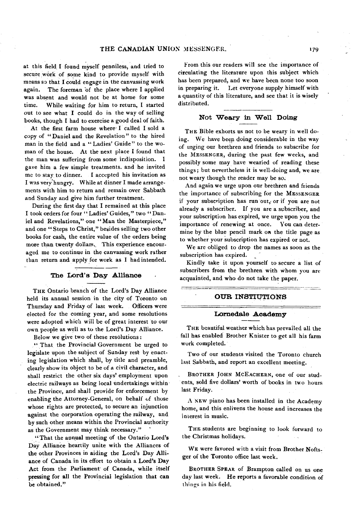at this field I found myself penniless, and tried to secure work of some kind to provide myself with means so that I could engage in the canvassing work again. The foreman of the place where I applied was absent and would not be at home for some time. While waiting for him to return, I started out to see what I could do in the way of selling books, though I had to exercise a good deal of faith.

At the first farm house where' I called I sold a copy of " Daniel and the Revelation " to the hired man in the field and a "Ladies' Guide" to the woman of the house. At the next place I found that the man was suffering from some indisposition. I gave him a few simple treatments, and he invited me to stay to dinner. I accepted his invitation as I was very hungry. W hile at dinner I made arrangements with him to return and remain over Sabbath and Sunday and give him further treatment.

During the first day that I remained at this place I took orders for four "Ladies' Guides," two "Daniel and Revelations," one "Man the Masterpiece," and one " Steps to Christ," besides selling two other books for cash, the entire value of the orders being more than twenty dollars. This experience encouraged me to continue in the canvassing work rather than return and apply for work as I had intended.

#### **The Lord's Day Alliance**

THE Ontario branch of the Lord's Day Alliance held its annual session in the city of Toronto on Thursday and Friday of last week. Officers were elected for the coming year, and some resolutions were adopted which will be of great interest to our own people as well as to the Lord's Day Alliance.

Below we give two of these resolutions:

" That the Provincial Government be urged to legislate upon the subject of Sunday rest by enacting legislation which shall, by title and preamble, clearly show its object to be of a civil character, and shall restrict the other six days' employment upon electric railways as being local undertakings within the Province, and shall provide for enforcement by enabling the Attorney-General, on behalf of those whose rights are protected, to secure an injunction against the corporation operating the railway, and by such other means within the Provincial authority as the Government may think necessary."

" That the annual meeting of the Ontario Lord's Day Alliance heartily unite with the Alliances of the other Provinces in aiding the Lord's Day Alliance of Canada in its effort to obtain a Lord's Day Act from the Parliament of Canada, while itself pressing for all the Provincial legislation that can be obtained."

From this our readers will see the importance of circulating the literature upon this subject which has been prepared, and we have been none too soon in preparing it. Let everyone supply himself with a quantity of this literature, and see that it is wisely distributed.

### **Not Weary in Well Doing**

THE Bible exhorts us not to be weary in well doing. We have been doing considerable in the way of urging our brethren and friends to subscribe for the MESSENGER, during the past few weeks, and possibly some may have wearied of reading these things; but nevertheless it is well-doing and, we are not weary though the reader may be so.

And again we urge upon our brethren and friends the importance of subscribing for the MESSENGER if your subscription has run out, or if you are not already a subscriber. If you are a subscriber, and your subscription has expired, we urge upon you the importance of renewing at once. You can determine by the blue pencil mark on the title page as to whether your subscription has expired or not.

We are obliged to drop the names as soon as the subscription has expired.

Kindly take it upon yourself to secure a list of subscribers from the brethren with whom you are acquainted, and who do not take the paper.

#### **OUR INSTTUTIONS**

#### **Lomedale Aoademy**

THE beautiful weather which has prevailed all the fall has enabled Brother Knister to get all his farm work completed.

Two of our students visited the Toronto church last Sabbath, and report an excellent meeting.

BROTHER JOHN MCEACHERN, one of our students, sold five dollars' worth of books in two hours last Friday.

A NEW piano has been installed in the Academy home, and this enlivens the house and increases the interest in music.

THE students are beginning to look forward to the Christmas holidays.

WE were favored with a visit from Brother Noftsger of the Toronto office last week.

BROTHER SPEAR of Brampton called on us one day last week. He reports a favorable condition of things in his field.